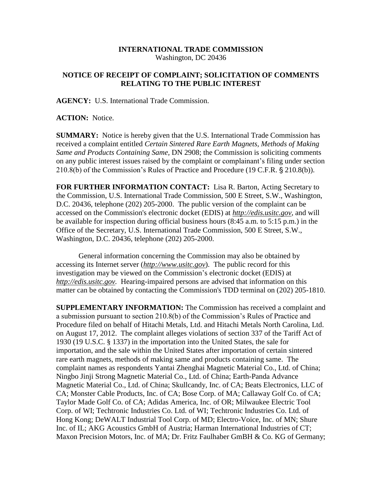## **INTERNATIONAL TRADE COMMISSION** Washington, DC 20436

## **NOTICE OF RECEIPT OF COMPLAINT; SOLICITATION OF COMMENTS RELATING TO THE PUBLIC INTEREST**

**AGENCY:** U.S. International Trade Commission.

**ACTION:** Notice.

**SUMMARY:** Notice is hereby given that the U.S. International Trade Commission has received a complaint entitled *Certain Sintered Rare Earth Magnets, Methods of Making Same and Products Containing Same,* DN 2908; the Commission is soliciting comments on any public interest issues raised by the complaint or complainant's filing under section  $210.8(b)$  of the Commission's Rules of Practice and Procedure (19 C.F.R.  $\S 210.8(b)$ ).

**FOR FURTHER INFORMATION CONTACT:** Lisa R. Barton, Acting Secretary to the Commission, U.S. International Trade Commission, 500 E Street, S.W., Washington, D.C. 20436, telephone (202) 205-2000. The public version of the complaint can be accessed on the Commission's electronic docket (EDIS) at *http://edis.usitc.gov*, and will be available for inspection during official business hours (8:45 a.m. to 5:15 p.m.) in the Office of the Secretary, U.S. International Trade Commission, 500 E Street, S.W., Washington, D.C. 20436, telephone (202) 205-2000.

General information concerning the Commission may also be obtained by accessing its Internet server (*http://www.usitc.gov*). The public record for this investigation may be viewed on the Commission's electronic docket (EDIS) at *http://edis.usitc.gov.* Hearing-impaired persons are advised that information on this matter can be obtained by contacting the Commission's TDD terminal on (202) 205-1810.

**SUPPLEMENTARY INFORMATION:** The Commission has received a complaint and a submission pursuant to section 210.8(b) of the Commission's Rules of Practice and Procedure filed on behalf of Hitachi Metals, Ltd. and Hitachi Metals North Carolina, Ltd. on August 17, 2012. The complaint alleges violations of section 337 of the Tariff Act of 1930 (19 U.S.C. § 1337) in the importation into the United States, the sale for importation, and the sale within the United States after importation of certain sintered rare earth magnets, methods of making same and products containing same. The complaint names as respondents Yantai Zhenghai Magnetic Material Co., Ltd. of China; Ningbo Jinji Strong Magnetic Material Co., Ltd. of China; Earth-Panda Advance Magnetic Material Co., Ltd. of China; Skullcandy, Inc. of CA; Beats Electronics, LLC of CA; Monster Cable Products, Inc. of CA; Bose Corp. of MA; Callaway Golf Co. of CA; Taylor Made Golf Co. of CA; Adidas America, Inc. of OR; Milwaukee Electric Tool Corp. of WI; Techtronic Industries Co. Ltd. of WI; Techtronic Industries Co. Ltd. of Hong Kong; DeWALT Industrial Tool Corp. of MD; Electro-Voice, Inc. of MN; Shure Inc. of IL; AKG Acoustics GmbH of Austria; Harman International Industries of CT; Maxon Precision Motors, Inc. of MA; Dr. Fritz Faulhaber GmBH & Co. KG of Germany;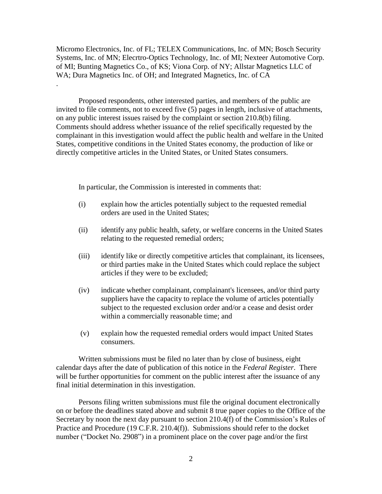Micromo Electronics, Inc. of FL; TELEX Communications, Inc. of MN; Bosch Security Systems, Inc. of MN; Elecrtro-Optics Technology, Inc. of MI; Nexteer Automotive Corp. of MI; Bunting Magnetics Co., of KS; Viona Corp. of NY; Allstar Magnetics LLC of WA; Dura Magnetics Inc. of OH; and Integrated Magnetics, Inc. of CA

Proposed respondents, other interested parties, and members of the public are invited to file comments, not to exceed five (5) pages in length, inclusive of attachments, on any public interest issues raised by the complaint or section 210.8(b) filing. Comments should address whether issuance of the relief specifically requested by the complainant in this investigation would affect the public health and welfare in the United States, competitive conditions in the United States economy, the production of like or directly competitive articles in the United States, or United States consumers.

In particular, the Commission is interested in comments that:

.

- (i) explain how the articles potentially subject to the requested remedial orders are used in the United States;
- (ii) identify any public health, safety, or welfare concerns in the United States relating to the requested remedial orders;
- (iii) identify like or directly competitive articles that complainant, its licensees, or third parties make in the United States which could replace the subject articles if they were to be excluded;
- (iv) indicate whether complainant, complainant's licensees, and/or third party suppliers have the capacity to replace the volume of articles potentially subject to the requested exclusion order and/or a cease and desist order within a commercially reasonable time; and
- (v) explain how the requested remedial orders would impact United States consumers.

Written submissions must be filed no later than by close of business, eight calendar days after the date of publication of this notice in the *Federal Register*. There will be further opportunities for comment on the public interest after the issuance of any final initial determination in this investigation.

Persons filing written submissions must file the original document electronically on or before the deadlines stated above and submit 8 true paper copies to the Office of the Secretary by noon the next day pursuant to section 210.4(f) of the Commission's Rules of Practice and Procedure (19 C.F.R. 210.4(f)). Submissions should refer to the docket number ("Docket No. 2908") in a prominent place on the cover page and/or the first